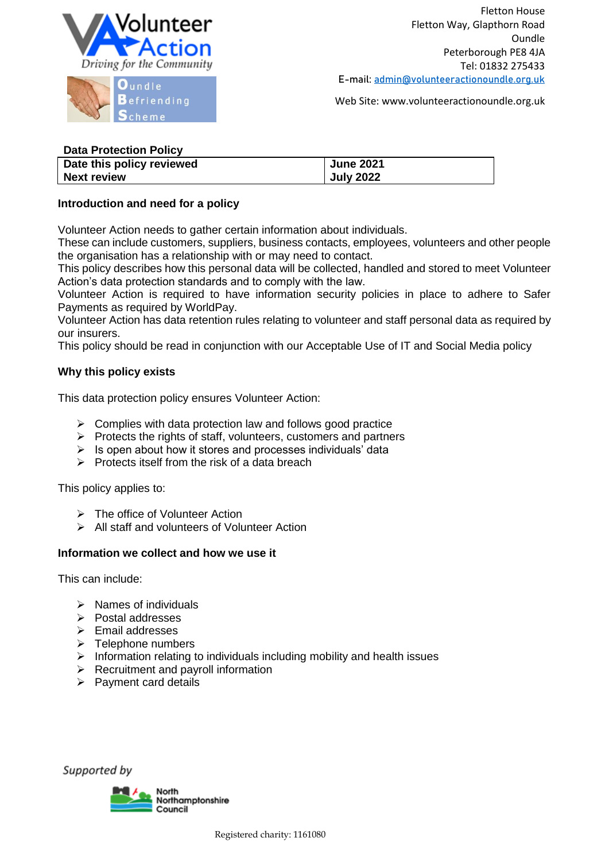

 $\mathbf{0}$ undle friending

Web Site: www.volunteeractionoundle.org.uk

### **Data Protection Policy**

| Date this policy reviewed | <b>June 2021</b> |
|---------------------------|------------------|
| <b>Next review</b>        | <b>July 2022</b> |

# **Introduction and need for a policy**

Volunteer Action needs to gather certain information about individuals.

These can include customers, suppliers, business contacts, employees, volunteers and other people the organisation has a relationship with or may need to contact.

This policy describes how this personal data will be collected, handled and stored to meet Volunteer Action's data protection standards and to comply with the law.

Volunteer Action is required to have information security policies in place to adhere to Safer Payments as required by WorldPay.

Volunteer Action has data retention rules relating to volunteer and staff personal data as required by our insurers.

This policy should be read in conjunction with our Acceptable Use of IT and Social Media policy

#### **Why this policy exists**

This data protection policy ensures Volunteer Action:

- $\triangleright$  Complies with data protection law and follows good practice
- $\triangleright$  Protects the rights of staff, volunteers, customers and partners
- $\triangleright$  Is open about how it stores and processes individuals' data
- $\triangleright$  Protects itself from the risk of a data breach

This policy applies to:

- > The office of Volunteer Action
- All staff and volunteers of Volunteer Action

#### **Information we collect and how we use it**

This can include:

- $\triangleright$  Names of individuals
- $\triangleright$  Postal addresses
- Email addresses
- $\triangleright$  Telephone numbers
- $\triangleright$  Information relating to individuals including mobility and health issues
- $\triangleright$  Recruitment and payroll information
- $\triangleright$  Payment card details

Supported by

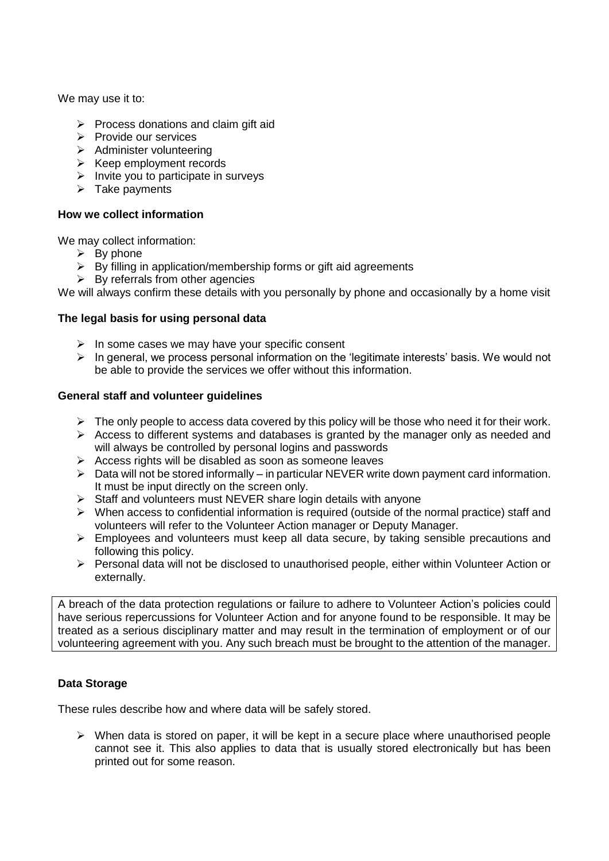We may use it to:

- $\triangleright$  Process donations and claim gift aid
- $\triangleright$  Provide our services
- $\triangleright$  Administer volunteering
- $\triangleright$  Keep employment records
- $\triangleright$  Invite you to participate in surveys
- $\triangleright$  Take payments

#### **How we collect information**

We may collect information:

- $\triangleright$  By phone
- $\triangleright$  By filling in application/membership forms or gift aid agreements
- $\triangleright$  By referrals from other agencies

We will always confirm these details with you personally by phone and occasionally by a home visit

#### **The legal basis for using personal data**

- $\triangleright$  In some cases we may have your specific consent
- $\triangleright$  In general, we process personal information on the 'legitimate interests' basis. We would not be able to provide the services we offer without this information.

#### **General staff and volunteer guidelines**

- $\triangleright$  The only people to access data covered by this policy will be those who need it for their work.
- $\triangleright$  Access to different systems and databases is granted by the manager only as needed and will always be controlled by personal logins and passwords
- $\triangleright$  Access rights will be disabled as soon as someone leaves
- $\triangleright$  Data will not be stored informally in particular NEVER write down payment card information. It must be input directly on the screen only.
- $\triangleright$  Staff and volunteers must NEVER share login details with anyone
- $\triangleright$  When access to confidential information is required (outside of the normal practice) staff and volunteers will refer to the Volunteer Action manager or Deputy Manager.
- $\triangleright$  Employees and volunteers must keep all data secure, by taking sensible precautions and following this policy.
- Personal data will not be disclosed to unauthorised people, either within Volunteer Action or externally.

A breach of the data protection regulations or failure to adhere to Volunteer Action's policies could have serious repercussions for Volunteer Action and for anyone found to be responsible. It may be treated as a serious disciplinary matter and may result in the termination of employment or of our volunteering agreement with you. Any such breach must be brought to the attention of the manager.

# **Data Storage**

These rules describe how and where data will be safely stored.

 $\triangleright$  When data is stored on paper, it will be kept in a secure place where unauthorised people cannot see it. This also applies to data that is usually stored electronically but has been printed out for some reason.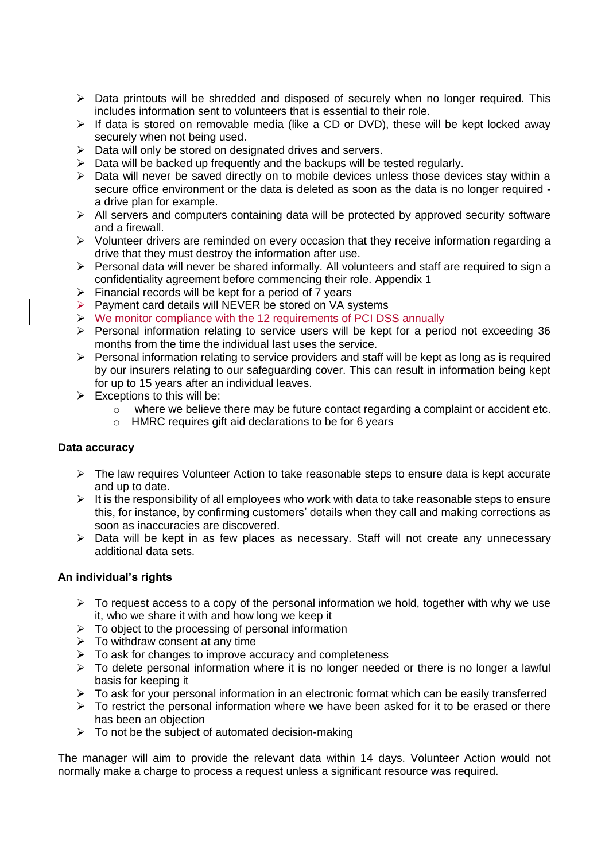- $\triangleright$  Data printouts will be shredded and disposed of securely when no longer required. This includes information sent to volunteers that is essential to their role.
- $\triangleright$  If data is stored on removable media (like a CD or DVD), these will be kept locked away securely when not being used.
- $\triangleright$  Data will only be stored on designated drives and servers.
- $\triangleright$  Data will be backed up frequently and the backups will be tested regularly.
- $\triangleright$  Data will never be saved directly on to mobile devices unless those devices stay within a secure office environment or the data is deleted as soon as the data is no longer required a drive plan for example.
- $\triangleright$  All servers and computers containing data will be protected by approved security software and a firewall.
- $\triangleright$  Volunteer drivers are reminded on every occasion that they receive information regarding a drive that they must destroy the information after use.
- $\triangleright$  Personal data will never be shared informally. All volunteers and staff are required to sign a confidentiality agreement before commencing their role. Appendix 1
- $\triangleright$  Financial records will be kept for a period of 7 years
- $\triangleright$  Payment card details will NEVER be stored on VA systems
- $\triangleright$  We monitor compliance with the 12 requirements of PCI DSS annually
- $\triangleright$  Personal information relating to service users will be kept for a period not exceeding 36 months from the time the individual last uses the service.
- $\triangleright$  Personal information relating to service providers and staff will be kept as long as is required by our insurers relating to our safeguarding cover. This can result in information being kept for up to 15 years after an individual leaves.
- $\triangleright$  Exceptions to this will be:
	- $\circ$  where we believe there may be future contact regarding a complaint or accident etc.
	- o HMRC requires gift aid declarations to be for 6 years

# **Data accuracy**

- $\triangleright$  The law requires Volunteer Action to take reasonable steps to ensure data is kept accurate and up to date.
- $\triangleright$  It is the responsibility of all employees who work with data to take reasonable steps to ensure this, for instance, by confirming customers' details when they call and making corrections as soon as inaccuracies are discovered.
- $\triangleright$  Data will be kept in as few places as necessary. Staff will not create any unnecessary additional data sets.

# **An individual's rights**

- $\triangleright$  To request access to a copy of the personal information we hold, together with why we use it, who we share it with and how long we keep it
- $\triangleright$  To object to the processing of personal information
- $\triangleright$  To withdraw consent at any time
- $\triangleright$  To ask for changes to improve accuracy and completeness
- $\triangleright$  To delete personal information where it is no longer needed or there is no longer a lawful basis for keeping it
- $\triangleright$  To ask for your personal information in an electronic format which can be easily transferred
- $\triangleright$  To restrict the personal information where we have been asked for it to be erased or there has been an objection
- $\triangleright$  To not be the subject of automated decision-making

The manager will aim to provide the relevant data within 14 days. Volunteer Action would not normally make a charge to process a request unless a significant resource was required.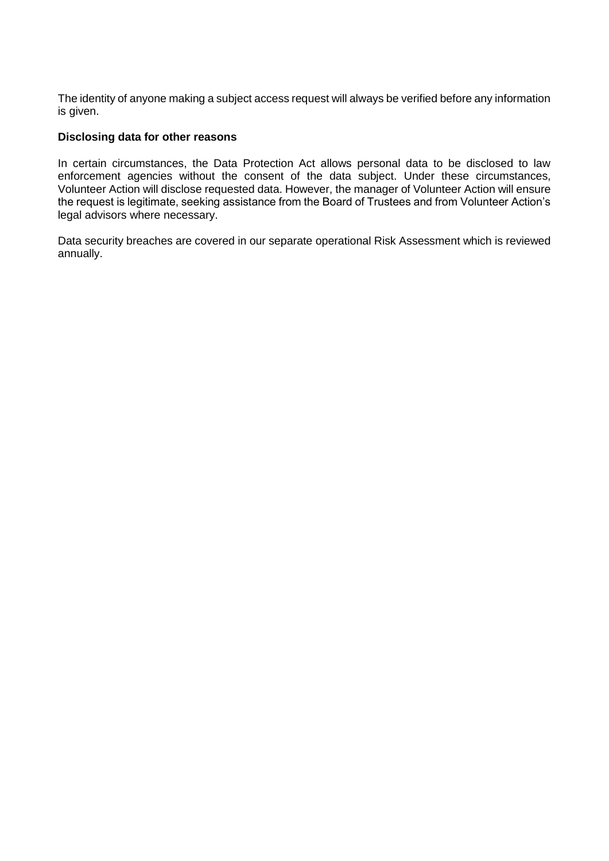The identity of anyone making a subject access request will always be verified before any information is given.

### **Disclosing data for other reasons**

In certain circumstances, the Data Protection Act allows personal data to be disclosed to law enforcement agencies without the consent of the data subject. Under these circumstances, Volunteer Action will disclose requested data. However, the manager of Volunteer Action will ensure the request is legitimate, seeking assistance from the Board of Trustees and from Volunteer Action's legal advisors where necessary.

Data security breaches are covered in our separate operational Risk Assessment which is reviewed annually.